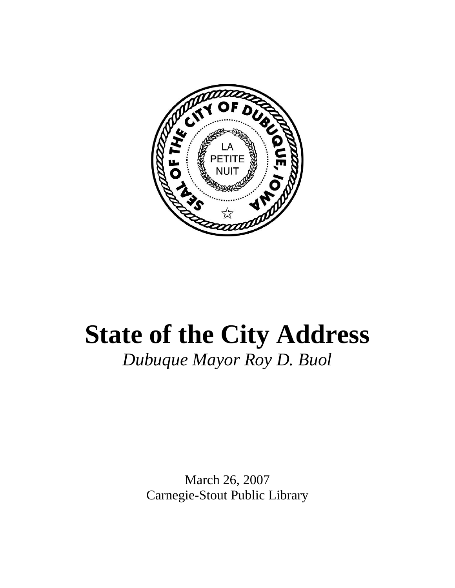

## **State of the City Address**  *Dubuque Mayor Roy D. Buol*

March 26, 2007 Carnegie-Stout Public Library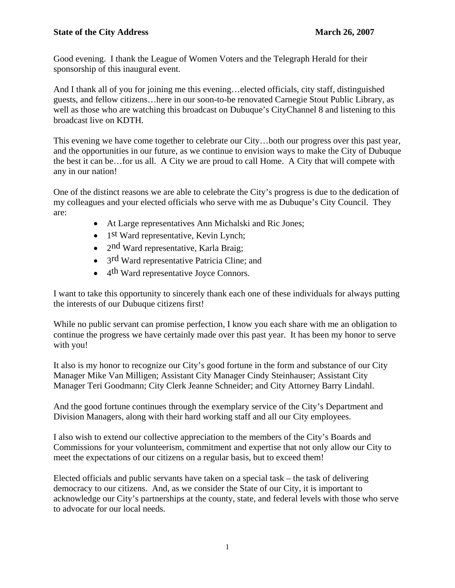Good evening. I thank the League of Women Voters and the Telegraph Herald for their sponsorship of this inaugural event.

And I thank all of you for joining me this evening…elected officials, city staff, distinguished guests, and fellow citizens…here in our soon-to-be renovated Carnegie Stout Public Library, as well as those who are watching this broadcast on Dubuque's CityChannel 8 and listening to this broadcast live on KDTH.

This evening we have come together to celebrate our City…both our progress over this past year, and the opportunities in our future, as we continue to envision ways to make the City of Dubuque the best it can be…for us all. A City we are proud to call Home. A City that will compete with any in our nation!

One of the distinct reasons we are able to celebrate the City's progress is due to the dedication of my colleagues and your elected officials who serve with me as Dubuque's City Council. They are:

- At Large representatives Ann Michalski and Ric Jones;
- 1<sup>st</sup> Ward representative, Kevin Lynch;
- 2nd Ward representative, Karla Braig;
- 3<sup>rd</sup> Ward representative Patricia Cline; and
- 4<sup>th</sup> Ward representative Joyce Connors.

I want to take this opportunity to sincerely thank each one of these individuals for always putting the interests of our Dubuque citizens first!

While no public servant can promise perfection, I know you each share with me an obligation to continue the progress we have certainly made over this past year. It has been my honor to serve with you!

It also is my honor to recognize our City's good fortune in the form and substance of our City Manager Mike Van Milligen; Assistant City Manager Cindy Steinhauser; Assistant City Manager Teri Goodmann; City Clerk Jeanne Schneider; and City Attorney Barry Lindahl.

And the good fortune continues through the exemplary service of the City's Department and Division Managers, along with their hard working staff and all our City employees.

I also wish to extend our collective appreciation to the members of the City's Boards and Commissions for your volunteerism, commitment and expertise that not only allow our City to meet the expectations of our citizens on a regular basis, but to exceed them!

Elected officials and public servants have taken on a special task – the task of delivering democracy to our citizens. And, as we consider the State of our City, it is important to acknowledge our City's partnerships at the county, state, and federal levels with those who serve to advocate for our local needs.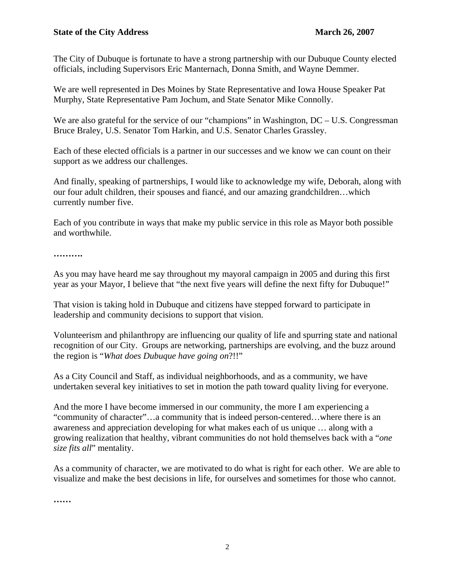The City of Dubuque is fortunate to have a strong partnership with our Dubuque County elected officials, including Supervisors Eric Manternach, Donna Smith, and Wayne Demmer.

We are well represented in Des Moines by State Representative and Iowa House Speaker Pat Murphy, State Representative Pam Jochum, and State Senator Mike Connolly.

We are also grateful for the service of our "champions" in Washington, DC – U.S. Congressman Bruce Braley, U.S. Senator Tom Harkin, and U.S. Senator Charles Grassley.

Each of these elected officials is a partner in our successes and we know we can count on their support as we address our challenges.

And finally, speaking of partnerships, I would like to acknowledge my wife, Deborah, along with our four adult children, their spouses and fiancé, and our amazing grandchildren…which currently number five.

Each of you contribute in ways that make my public service in this role as Mayor both possible and worthwhile.

**……….** 

As you may have heard me say throughout my mayoral campaign in 2005 and during this first year as your Mayor, I believe that "the next five years will define the next fifty for Dubuque!"

That vision is taking hold in Dubuque and citizens have stepped forward to participate in leadership and community decisions to support that vision.

Volunteerism and philanthropy are influencing our quality of life and spurring state and national recognition of our City. Groups are networking, partnerships are evolving, and the buzz around the region is "*What does Dubuque have going on*?!!"

As a City Council and Staff, as individual neighborhoods, and as a community, we have undertaken several key initiatives to set in motion the path toward quality living for everyone.

And the more I have become immersed in our community, the more I am experiencing a "community of character"…a community that is indeed person-centered…where there is an awareness and appreciation developing for what makes each of us unique … along with a growing realization that healthy, vibrant communities do not hold themselves back with a "*one size fits all*" mentality.

As a community of character, we are motivated to do what is right for each other. We are able to visualize and make the best decisions in life, for ourselves and sometimes for those who cannot.

**……**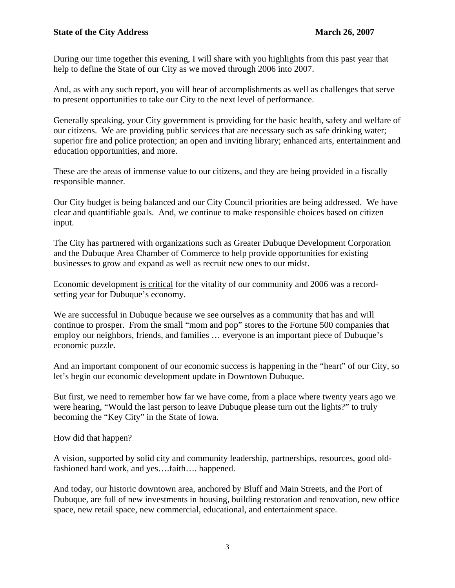During our time together this evening, I will share with you highlights from this past year that help to define the State of our City as we moved through 2006 into 2007.

And, as with any such report, you will hear of accomplishments as well as challenges that serve to present opportunities to take our City to the next level of performance.

Generally speaking, your City government is providing for the basic health, safety and welfare of our citizens. We are providing public services that are necessary such as safe drinking water; superior fire and police protection; an open and inviting library; enhanced arts, entertainment and education opportunities, and more.

These are the areas of immense value to our citizens, and they are being provided in a fiscally responsible manner.

Our City budget is being balanced and our City Council priorities are being addressed. We have clear and quantifiable goals. And, we continue to make responsible choices based on citizen input.

The City has partnered with organizations such as Greater Dubuque Development Corporation and the Dubuque Area Chamber of Commerce to help provide opportunities for existing businesses to grow and expand as well as recruit new ones to our midst.

Economic development is critical for the vitality of our community and 2006 was a recordsetting year for Dubuque's economy.

We are successful in Dubuque because we see ourselves as a community that has and will continue to prosper. From the small "mom and pop" stores to the Fortune 500 companies that employ our neighbors, friends, and families … everyone is an important piece of Dubuque's economic puzzle.

And an important component of our economic success is happening in the "heart" of our City, so let's begin our economic development update in Downtown Dubuque.

But first, we need to remember how far we have come, from a place where twenty years ago we were hearing, "Would the last person to leave Dubuque please turn out the lights?" to truly becoming the "Key City" in the State of Iowa.

How did that happen?

A vision, supported by solid city and community leadership, partnerships, resources, good oldfashioned hard work, and yes….faith…. happened.

And today, our historic downtown area, anchored by Bluff and Main Streets, and the Port of Dubuque, are full of new investments in housing, building restoration and renovation, new office space, new retail space, new commercial, educational, and entertainment space.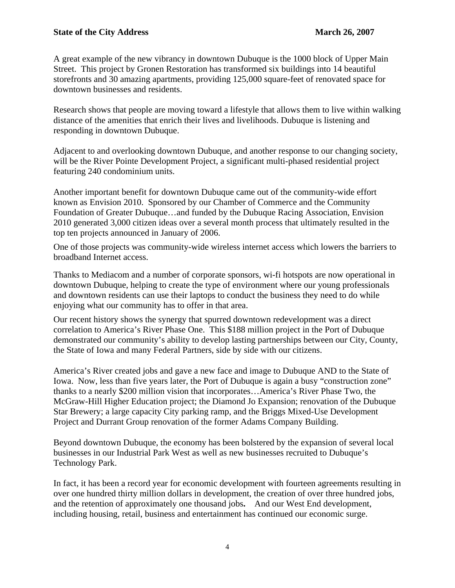A great example of the new vibrancy in downtown Dubuque is the 1000 block of Upper Main Street. This project by Gronen Restoration has transformed six buildings into 14 beautiful storefronts and 30 amazing apartments, providing 125,000 square-feet of renovated space for downtown businesses and residents.

Research shows that people are moving toward a lifestyle that allows them to live within walking distance of the amenities that enrich their lives and livelihoods. Dubuque is listening and responding in downtown Dubuque.

Adjacent to and overlooking downtown Dubuque, and another response to our changing society, will be the River Pointe Development Project, a significant multi-phased residential project featuring 240 condominium units.

Another important benefit for downtown Dubuque came out of the community-wide effort known as Envision 2010. Sponsored by our Chamber of Commerce and the Community Foundation of Greater Dubuque…and funded by the Dubuque Racing Association, Envision 2010 generated 3,000 citizen ideas over a several month process that ultimately resulted in the top ten projects announced in January of 2006.

One of those projects was community-wide wireless internet access which lowers the barriers to broadband Internet access.

Thanks to Mediacom and a number of corporate sponsors, wi-fi hotspots are now operational in downtown Dubuque, helping to create the type of environment where our young professionals and downtown residents can use their laptops to conduct the business they need to do while enjoying what our community has to offer in that area.

Our recent history shows the synergy that spurred downtown redevelopment was a direct correlation to America's River Phase One. This \$188 million project in the Port of Dubuque demonstrated our community's ability to develop lasting partnerships between our City, County, the State of Iowa and many Federal Partners, side by side with our citizens.

America's River created jobs and gave a new face and image to Dubuque AND to the State of Iowa. Now, less than five years later, the Port of Dubuque is again a busy "construction zone" thanks to a nearly \$200 million vision that incorporates…America's River Phase Two, the McGraw-Hill Higher Education project; the Diamond Jo Expansion; renovation of the Dubuque Star Brewery; a large capacity City parking ramp, and the Briggs Mixed-Use Development Project and Durrant Group renovation of the former Adams Company Building.

Beyond downtown Dubuque, the economy has been bolstered by the expansion of several local businesses in our Industrial Park West as well as new businesses recruited to Dubuque's Technology Park.

In fact, it has been a record year for economic development with fourteen agreements resulting in over one hundred thirty million dollars in development, the creation of over three hundred jobs, and the retention of approximately one thousand jobs**.** And our West End development, including housing, retail, business and entertainment has continued our economic surge.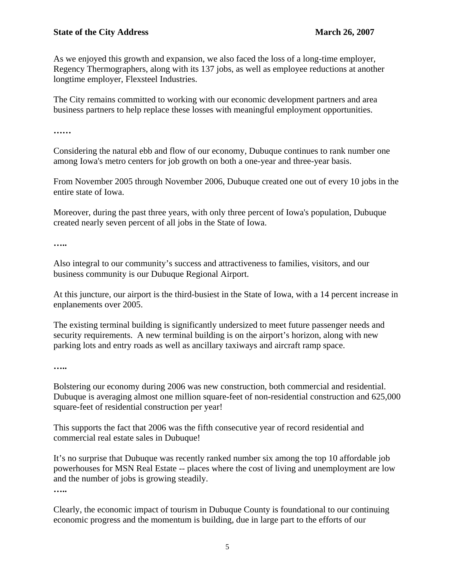As we enjoyed this growth and expansion, we also faced the loss of a long-time employer, Regency Thermographers, along with its 137 jobs, as well as employee reductions at another longtime employer, Flexsteel Industries.

The City remains committed to working with our economic development partners and area business partners to help replace these losses with meaningful employment opportunities.

**……** 

Considering the natural ebb and flow of our economy, Dubuque continues to rank number one among Iowa's metro centers for job growth on both a one-year and three-year basis.

From November 2005 through November 2006, Dubuque created one out of every 10 jobs in the entire state of Iowa.

Moreover, during the past three years, with only three percent of Iowa's population, Dubuque created nearly seven percent of all jobs in the State of Iowa.

**…..** 

Also integral to our community's success and attractiveness to families, visitors, and our business community is our Dubuque Regional Airport.

At this juncture, our airport is the third-busiest in the State of Iowa, with a 14 percent increase in enplanements over 2005.

The existing terminal building is significantly undersized to meet future passenger needs and security requirements. A new terminal building is on the airport's horizon, along with new parking lots and entry roads as well as ancillary taxiways and aircraft ramp space.

**…..**

Bolstering our economy during 2006 was new construction, both commercial and residential. Dubuque is averaging almost one million square-feet of non-residential construction and 625,000 square-feet of residential construction per year!

This supports the fact that 2006 was the fifth consecutive year of record residential and commercial real estate sales in Dubuque!

It's no surprise that Dubuque was recently ranked number six among the top 10 affordable job powerhouses for MSN Real Estate -- places where the cost of living and unemployment are low and the number of jobs is growing steadily.

**…..** 

Clearly, the economic impact of tourism in Dubuque County is foundational to our continuing economic progress and the momentum is building, due in large part to the efforts of our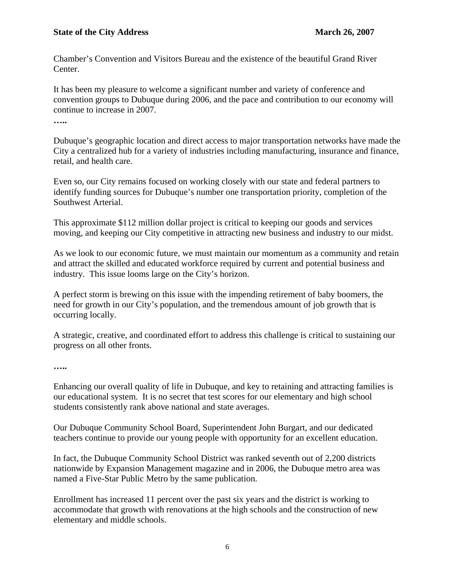Chamber's Convention and Visitors Bureau and the existence of the beautiful Grand River Center.

It has been my pleasure to welcome a significant number and variety of conference and convention groups to Dubuque during 2006, and the pace and contribution to our economy will continue to increase in 2007.

**…..** 

Dubuque's geographic location and direct access to major transportation networks have made the City a centralized hub for a variety of industries including manufacturing, insurance and finance, retail, and health care.

Even so, our City remains focused on working closely with our state and federal partners to identify funding sources for Dubuque's number one transportation priority, completion of the Southwest Arterial.

This approximate \$112 million dollar project is critical to keeping our goods and services moving, and keeping our City competitive in attracting new business and industry to our midst.

As we look to our economic future, we must maintain our momentum as a community and retain and attract the skilled and educated workforce required by current and potential business and industry. This issue looms large on the City's horizon.

A perfect storm is brewing on this issue with the impending retirement of baby boomers, the need for growth in our City's population, and the tremendous amount of job growth that is occurring locally.

A strategic, creative, and coordinated effort to address this challenge is critical to sustaining our progress on all other fronts.

**…..** 

Enhancing our overall quality of life in Dubuque, and key to retaining and attracting families is our educational system. It is no secret that test scores for our elementary and high school students consistently rank above national and state averages.

Our Dubuque Community School Board, Superintendent John Burgart, and our dedicated teachers continue to provide our young people with opportunity for an excellent education.

In fact, the Dubuque Community School District was ranked seventh out of 2,200 districts nationwide by Expansion Management magazine and in 2006, the Dubuque metro area was named a Five-Star Public Metro by the same publication.

Enrollment has increased 11 percent over the past six years and the district is working to accommodate that growth with renovations at the high schools and the construction of new elementary and middle schools.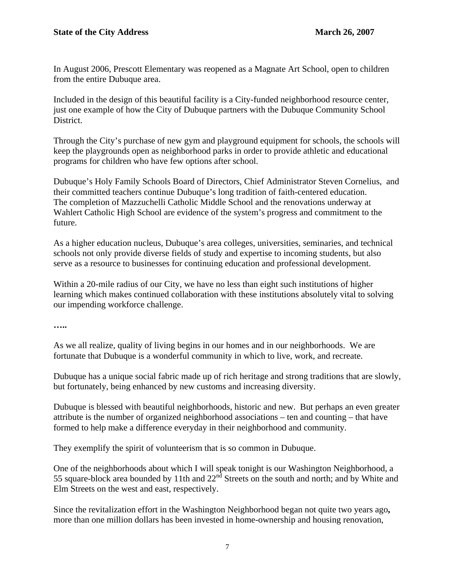In August 2006, Prescott Elementary was reopened as a Magnate Art School, open to children from the entire Dubuque area.

Included in the design of this beautiful facility is a City-funded neighborhood resource center, just one example of how the City of Dubuque partners with the Dubuque Community School District.

Through the City's purchase of new gym and playground equipment for schools, the schools will keep the playgrounds open as neighborhood parks in order to provide athletic and educational programs for children who have few options after school.

Dubuque's Holy Family Schools Board of Directors, Chief Administrator Steven Cornelius, and their committed teachers continue Dubuque's long tradition of faith-centered education. The completion of Mazzuchelli Catholic Middle School and the renovations underway at Wahlert Catholic High School are evidence of the system's progress and commitment to the future.

As a higher education nucleus, Dubuque's area colleges, universities, seminaries, and technical schools not only provide diverse fields of study and expertise to incoming students, but also serve as a resource to businesses for continuing education and professional development.

Within a 20-mile radius of our City, we have no less than eight such institutions of higher learning which makes continued collaboration with these institutions absolutely vital to solving our impending workforce challenge.

**…..** 

As we all realize, quality of living begins in our homes and in our neighborhoods. We are fortunate that Dubuque is a wonderful community in which to live, work, and recreate.

Dubuque has a unique social fabric made up of rich heritage and strong traditions that are slowly. but fortunately, being enhanced by new customs and increasing diversity.

Dubuque is blessed with beautiful neighborhoods, historic and new. But perhaps an even greater attribute is the number of organized neighborhood associations – ten and counting – that have formed to help make a difference everyday in their neighborhood and community.

They exemplify the spirit of volunteerism that is so common in Dubuque.

One of the neighborhoods about which I will speak tonight is our Washington Neighborhood, a 55 square-block area bounded by 11th and  $22<sup>nd</sup>$  Streets on the south and north; and by White and Elm Streets on the west and east, respectively.

Since the revitalization effort in the Washington Neighborhood began not quite two years ago**,**  more than one million dollars has been invested in home-ownership and housing renovation,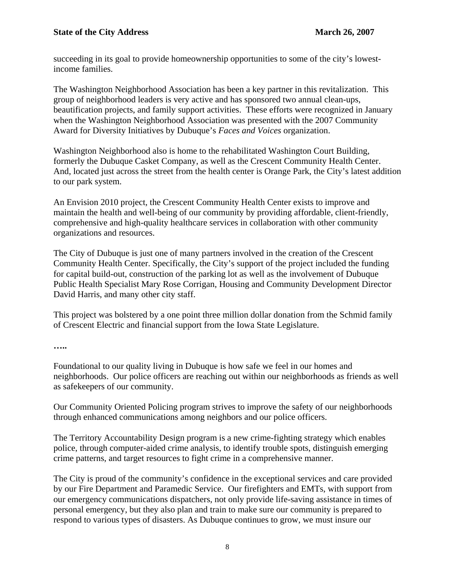succeeding in its goal to provide homeownership opportunities to some of the city's lowestincome families.

The Washington Neighborhood Association has been a key partner in this revitalization. This group of neighborhood leaders is very active and has sponsored two annual clean-ups, beautification projects, and family support activities. These efforts were recognized in January when the Washington Neighborhood Association was presented with the 2007 Community Award for Diversity Initiatives by Dubuque's *Faces and Voices* organization.

Washington Neighborhood also is home to the rehabilitated Washington Court Building, formerly the Dubuque Casket Company, as well as the Crescent Community Health Center. And, located just across the street from the health center is Orange Park, the City's latest addition to our park system.

An Envision 2010 project, the Crescent Community Health Center exists to improve and maintain the health and well-being of our community by providing affordable, client-friendly, comprehensive and high-quality healthcare services in collaboration with other community organizations and resources.

The City of Dubuque is just one of many partners involved in the creation of the Crescent Community Health Center. Specifically, the City's support of the project included the funding for capital build-out, construction of the parking lot as well as the involvement of Dubuque Public Health Specialist Mary Rose Corrigan, Housing and Community Development Director David Harris, and many other city staff.

This project was bolstered by a one point three million dollar donation from the Schmid family of Crescent Electric and financial support from the Iowa State Legislature.

**…..** 

Foundational to our quality living in Dubuque is how safe we feel in our homes and neighborhoods. Our police officers are reaching out within our neighborhoods as friends as well as safekeepers of our community.

Our Community Oriented Policing program strives to improve the safety of our neighborhoods through enhanced communications among neighbors and our police officers.

The Territory Accountability Design program is a new crime-fighting strategy which enables police, through computer-aided crime analysis, to identify trouble spots, distinguish emerging crime patterns, and target resources to fight crime in a comprehensive manner.

The City is proud of the community's confidence in the exceptional services and care provided by our Fire Department and Paramedic Service. Our firefighters and EMTs, with support from our emergency communications dispatchers, not only provide life-saving assistance in times of personal emergency, but they also plan and train to make sure our community is prepared to respond to various types of disasters. As Dubuque continues to grow, we must insure our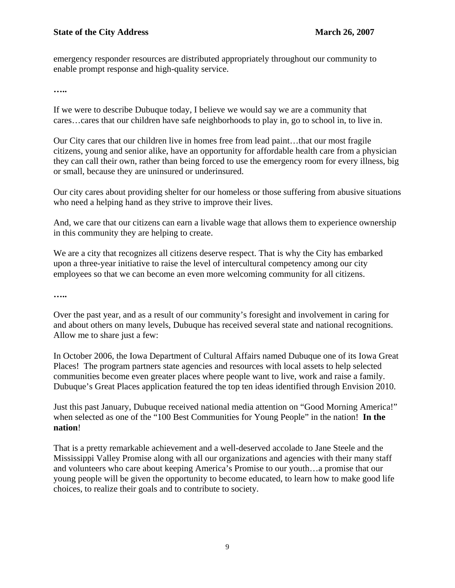emergency responder resources are distributed appropriately throughout our community to enable prompt response and high-quality service.

**…..** 

If we were to describe Dubuque today, I believe we would say we are a community that cares…cares that our children have safe neighborhoods to play in, go to school in, to live in.

Our City cares that our children live in homes free from lead paint…that our most fragile citizens, young and senior alike, have an opportunity for affordable health care from a physician they can call their own, rather than being forced to use the emergency room for every illness, big or small, because they are uninsured or underinsured.

Our city cares about providing shelter for our homeless or those suffering from abusive situations who need a helping hand as they strive to improve their lives.

And, we care that our citizens can earn a livable wage that allows them to experience ownership in this community they are helping to create.

We are a city that recognizes all citizens deserve respect. That is why the City has embarked upon a three-year initiative to raise the level of intercultural competency among our city employees so that we can become an even more welcoming community for all citizens.

**…..** 

Over the past year, and as a result of our community's foresight and involvement in caring for and about others on many levels, Dubuque has received several state and national recognitions. Allow me to share just a few:

In October 2006, the Iowa Department of Cultural Affairs named Dubuque one of its Iowa Great Places! The program partners state agencies and resources with local assets to help selected communities become even greater places where people want to live, work and raise a family. Dubuque's Great Places application featured the top ten ideas identified through Envision 2010.

Just this past January, Dubuque received national media attention on "Good Morning America!" when selected as one of the "100 Best Communities for Young People" in the nation! **In the nation**!

That is a pretty remarkable achievement and a well-deserved accolade to Jane Steele and the Mississippi Valley Promise along with all our organizations and agencies with their many staff and volunteers who care about keeping America's Promise to our youth…a promise that our young people will be given the opportunity to become educated, to learn how to make good life choices, to realize their goals and to contribute to society.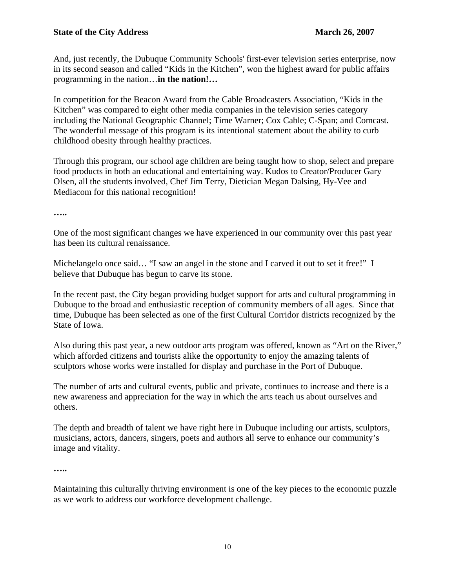And, just recently, the Dubuque Community Schools' first-ever television series enterprise, now in its second season and called "Kids in the Kitchen", won the highest award for public affairs programming in the nation…**in the nation!…** 

In competition for the Beacon Award from the Cable Broadcasters Association, "Kids in the Kitchen" was compared to eight other media companies in the television series category including the National Geographic Channel; Time Warner; Cox Cable; C-Span; and Comcast. The wonderful message of this program is its intentional statement about the ability to curb childhood obesity through healthy practices.

Through this program, our school age children are being taught how to shop, select and prepare food products in both an educational and entertaining way. Kudos to Creator/Producer Gary Olsen, all the students involved, Chef Jim Terry, Dietician Megan Dalsing, Hy-Vee and Mediacom for this national recognition!

**…..** 

One of the most significant changes we have experienced in our community over this past year has been its cultural renaissance.

Michelangelo once said… "I saw an angel in the stone and I carved it out to set it free!" I believe that Dubuque has begun to carve its stone.

In the recent past, the City began providing budget support for arts and cultural programming in Dubuque to the broad and enthusiastic reception of community members of all ages. Since that time, Dubuque has been selected as one of the first Cultural Corridor districts recognized by the State of Iowa.

Also during this past year, a new outdoor arts program was offered, known as "Art on the River," which afforded citizens and tourists alike the opportunity to enjoy the amazing talents of sculptors whose works were installed for display and purchase in the Port of Dubuque.

The number of arts and cultural events, public and private, continues to increase and there is a new awareness and appreciation for the way in which the arts teach us about ourselves and others.

The depth and breadth of talent we have right here in Dubuque including our artists, sculptors, musicians, actors, dancers, singers, poets and authors all serve to enhance our community's image and vitality.

**…..** 

Maintaining this culturally thriving environment is one of the key pieces to the economic puzzle as we work to address our workforce development challenge.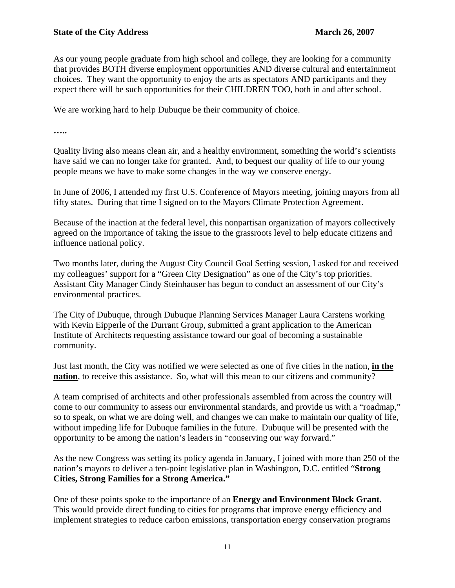As our young people graduate from high school and college, they are looking for a community that provides BOTH diverse employment opportunities AND diverse cultural and entertainment choices. They want the opportunity to enjoy the arts as spectators AND participants and they expect there will be such opportunities for their CHILDREN TOO, both in and after school.

We are working hard to help Dubuque be their community of choice.

**…..** 

Quality living also means clean air, and a healthy environment, something the world's scientists have said we can no longer take for granted. And, to bequest our quality of life to our young people means we have to make some changes in the way we conserve energy.

In June of 2006, I attended my first U.S. Conference of Mayors meeting, joining mayors from all fifty states. During that time I signed on to the Mayors Climate Protection Agreement.

Because of the inaction at the federal level, this nonpartisan organization of mayors collectively agreed on the importance of taking the issue to the grassroots level to help educate citizens and influence national policy.

Two months later, during the August City Council Goal Setting session, I asked for and received my colleagues' support for a "Green City Designation" as one of the City's top priorities. Assistant City Manager Cindy Steinhauser has begun to conduct an assessment of our City's environmental practices.

The City of Dubuque, through Dubuque Planning Services Manager Laura Carstens working with Kevin Eipperle of the Durrant Group, submitted a grant application to the American Institute of Architects requesting assistance toward our goal of becoming a sustainable community.

Just last month, the City was notified we were selected as one of five cities in the nation, **in the nation**, to receive this assistance. So, what will this mean to our citizens and community?

A team comprised of architects and other professionals assembled from across the country will come to our community to assess our environmental standards, and provide us with a "roadmap," so to speak, on what we are doing well, and changes we can make to maintain our quality of life, without impeding life for Dubuque families in the future. Dubuque will be presented with the opportunity to be among the nation's leaders in "conserving our way forward."

As the new Congress was setting its policy agenda in January, I joined with more than 250 of the nation's mayors to deliver a ten-point legislative plan in Washington, D.C. entitled "**Strong Cities, Strong Families for a Strong America."** 

One of these points spoke to the importance of an **Energy and Environment Block Grant.**  This would provide direct funding to cities for programs that improve energy efficiency and implement strategies to reduce carbon emissions, transportation energy conservation programs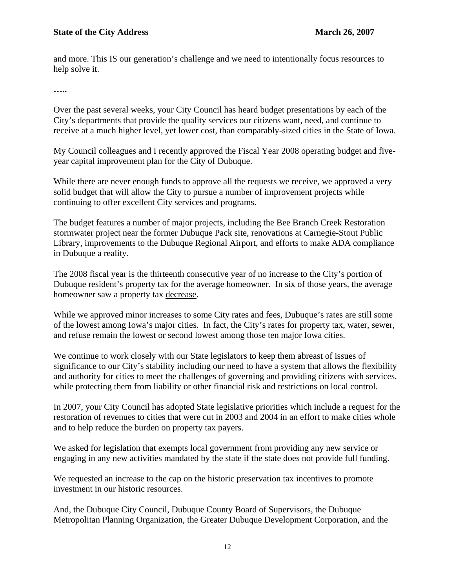and more. This IS our generation's challenge and we need to intentionally focus resources to help solve it.

**…..** 

Over the past several weeks, your City Council has heard budget presentations by each of the City's departments that provide the quality services our citizens want, need, and continue to receive at a much higher level, yet lower cost, than comparably-sized cities in the State of Iowa.

My Council colleagues and I recently approved the Fiscal Year 2008 operating budget and fiveyear capital improvement plan for the City of Dubuque.

While there are never enough funds to approve all the requests we receive, we approved a very solid budget that will allow the City to pursue a number of improvement projects while continuing to offer excellent City services and programs.

The budget features a number of major projects, including the Bee Branch Creek Restoration stormwater project near the former Dubuque Pack site, renovations at Carnegie-Stout Public Library, improvements to the Dubuque Regional Airport, and efforts to make ADA compliance in Dubuque a reality.

The 2008 fiscal year is the thirteenth consecutive year of no increase to the City's portion of Dubuque resident's property tax for the average homeowner. In six of those years, the average homeowner saw a property tax decrease.

While we approved minor increases to some City rates and fees, Dubuque's rates are still some of the lowest among Iowa's major cities. In fact, the City's rates for property tax, water, sewer, and refuse remain the lowest or second lowest among those ten major Iowa cities.

We continue to work closely with our State legislators to keep them abreast of issues of significance to our City's stability including our need to have a system that allows the flexibility and authority for cities to meet the challenges of governing and providing citizens with services, while protecting them from liability or other financial risk and restrictions on local control.

In 2007, your City Council has adopted State legislative priorities which include a request for the restoration of revenues to cities that were cut in 2003 and 2004 in an effort to make cities whole and to help reduce the burden on property tax payers.

We asked for legislation that exempts local government from providing any new service or engaging in any new activities mandated by the state if the state does not provide full funding.

We requested an increase to the cap on the historic preservation tax incentives to promote investment in our historic resources.

And, the Dubuque City Council, Dubuque County Board of Supervisors, the Dubuque Metropolitan Planning Organization, the Greater Dubuque Development Corporation, and the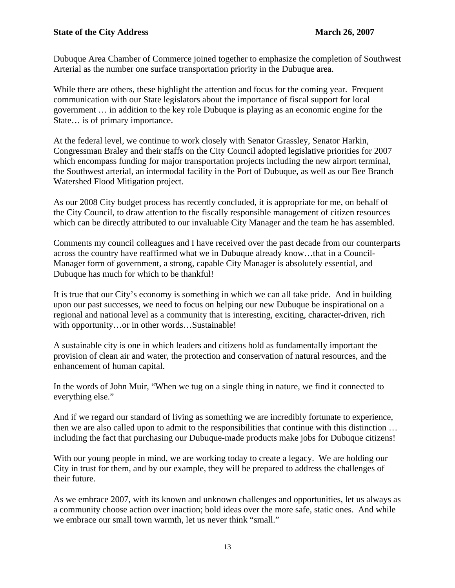Dubuque Area Chamber of Commerce joined together to emphasize the completion of Southwest Arterial as the number one surface transportation priority in the Dubuque area.

While there are others, these highlight the attention and focus for the coming year. Frequent communication with our State legislators about the importance of fiscal support for local government … in addition to the key role Dubuque is playing as an economic engine for the State… is of primary importance.

At the federal level, we continue to work closely with Senator Grassley, Senator Harkin, Congressman Braley and their staffs on the City Council adopted legislative priorities for 2007 which encompass funding for major transportation projects including the new airport terminal, the Southwest arterial, an intermodal facility in the Port of Dubuque, as well as our Bee Branch Watershed Flood Mitigation project.

As our 2008 City budget process has recently concluded, it is appropriate for me, on behalf of the City Council, to draw attention to the fiscally responsible management of citizen resources which can be directly attributed to our invaluable City Manager and the team he has assembled.

Comments my council colleagues and I have received over the past decade from our counterparts across the country have reaffirmed what we in Dubuque already know…that in a Council-Manager form of government, a strong, capable City Manager is absolutely essential, and Dubuque has much for which to be thankful!

It is true that our City's economy is something in which we can all take pride. And in building upon our past successes, we need to focus on helping our new Dubuque be inspirational on a regional and national level as a community that is interesting, exciting, character-driven, rich with opportunity...or in other words...Sustainable!

A sustainable city is one in which leaders and citizens hold as fundamentally important the provision of clean air and water, the protection and conservation of natural resources, and the enhancement of human capital.

In the words of John Muir, "When we tug on a single thing in nature, we find it connected to everything else."

And if we regard our standard of living as something we are incredibly fortunate to experience, then we are also called upon to admit to the responsibilities that continue with this distinction … including the fact that purchasing our Dubuque-made products make jobs for Dubuque citizens!

With our young people in mind, we are working today to create a legacy. We are holding our City in trust for them, and by our example, they will be prepared to address the challenges of their future.

As we embrace 2007, with its known and unknown challenges and opportunities, let us always as a community choose action over inaction; bold ideas over the more safe, static ones. And while we embrace our small town warmth, let us never think "small."